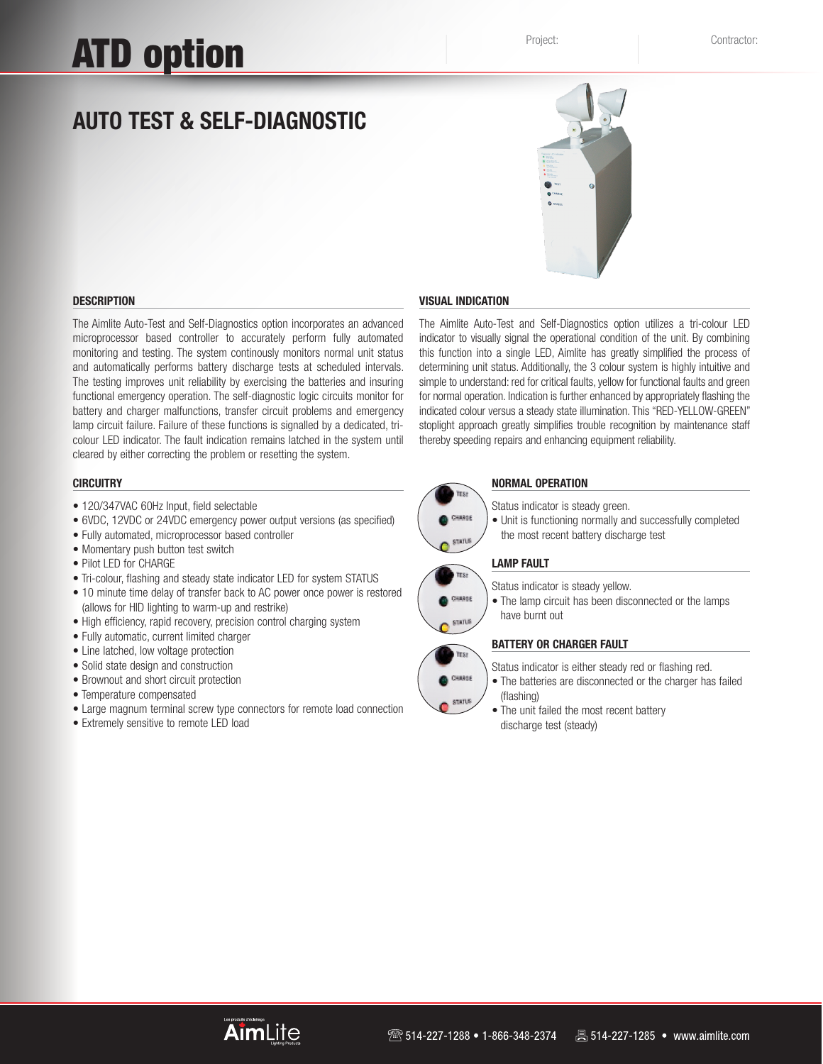# ATD option

# **Auto Test & Self-diagnostic**



# **DESCRIPTION**

The Aimlite Auto-Test and Self-Diagnostics option incorporates an advanced microprocessor based controller to accurately perform fully automated monitoring and testing. The system continously monitors normal unit status and automatically performs battery discharge tests at scheduled intervals. The testing improves unit reliability by exercising the batteries and insuring functional emergency operation. The self-diagnostic logic circuits monitor for battery and charger malfunctions, transfer circuit problems and emergency lamp circuit failure. Failure of these functions is signalled by a dedicated, tricolour LED indicator. The fault indication remains latched in the system until cleared by either correcting the problem or resetting the system.

# **CIRCUITRY**

- 120/347VAC 60Hz Input, field selectable
- 6VDC, 12VDC or 24VDC emergency power output versions (as specified)
- Fully automated, microprocessor based controller
- Momentary push button test switch
- Pilot LED for CHARGE
- Tri-colour, flashing and steady state indicator LED for system STATUS
- 10 minute time delay of transfer back to AC power once power is restored (allows for HID lighting to warm-up and restrike)
- High efficiency, rapid recovery, precision control charging system
- Fully automatic, current limited charger
- Line latched, low voltage protection
- Solid state design and construction
- Brownout and short circuit protection
- Temperature compensated
- Large magnum terminal screw type connectors for remote load connection
- Extremely sensitive to remote LED load

## **VISUAL INDICATION**

The Aimlite Auto-Test and Self-Diagnostics option utilizes a tri-colour LED indicator to visually signal the operational condition of the unit. By combining this function into a single LED, Aimlite has greatly simplified the process of determining unit status. Additionally, the 3 colour system is highly intuitive and simple to understand: red for critical faults, yellow for functional faults and green for normal operation. Indication is further enhanced by appropriately flashing the indicated colour versus a steady state illumination. This "RED-YELLOW-GREEN" stoplight approach greatly simplifies trouble recognition by maintenance staff thereby speeding repairs and enhancing equipment reliability.



 $SIMUS$ 

**TES!** CHARGE **STATUS** 

TEST CHARGE **STATUS** 

# **NORMAL OPERATION**

- Status indicator is steady green.
- Unit is functioning normally and successfully completed the most recent battery discharge test

# **LAMP FAULT**

Status indicator is steady yellow.

• The lamp circuit has been disconnected or the lamps have burnt out

# **BATTERY OR CHARGER FAULT**

- Status indicator is either steady red or flashing red.
- The batteries are disconnected or the charger has failed (flashing)
	- The unit failed the most recent battery discharge test (steady)

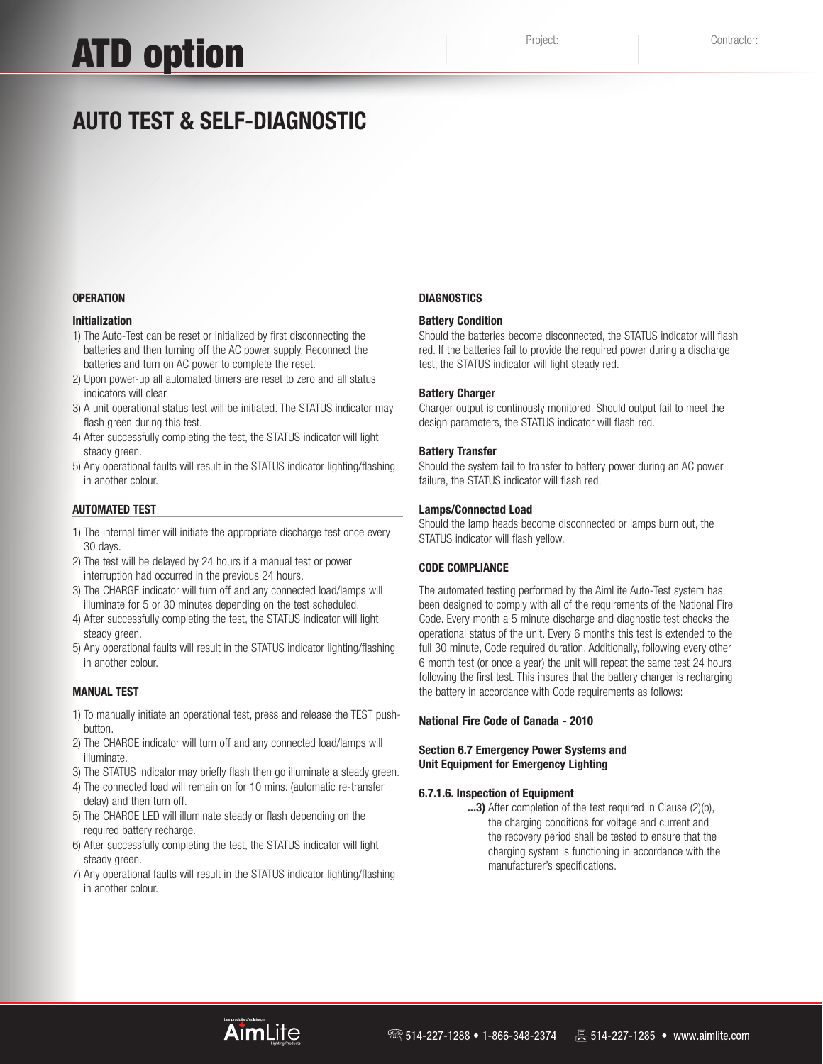# ATD option

# **Auto Test & Self-diagnostic**

#### **OPERATION**

#### **Initialization**

- 1) The Auto-Test can be reset or initialized by first disconnecting the batteries and then turning off the AC power supply. Reconnect the batteries and turn on AC power to complete the reset.
- 2) Upon power-up all automated timers are reset to zero and all status indicators will clear.
- 3) A unit operational status test will be initiated. The STATUS indicator may flash green during this test.
- 4) After successfully completing the test, the STATUS indicator will light steady green.
- 5) Any operational faults will result in the STATUS indicator lighting/flashing in another colour.

#### **Automated Test**

- 1) The internal timer will initiate the appropriate discharge test once every 30 days.
- 2) The test will be delayed by 24 hours if a manual test or power interruption had occurred in the previous 24 hours.
- 3) The CHARGE indicator will turn off and any connected load/lamps will illuminate for 5 or 30 minutes depending on the test scheduled.
- 4) After successfully completing the test, the STATUS indicator will light steady green.
- 5) Any operational faults will result in the STATUS indicator lighting/flashing in another colour.

#### **Manual Test**

- 1) To manually initiate an operational test, press and release the TEST pushbutton.
- 2) The CHARGE indicator will turn off and any connected load/lamps will illuminate.
- 3) The STATUS indicator may briefly flash then go illuminate a steady green.
- 4) The connected load will remain on for 10 mins. (automatic re-transfer delay) and then turn off.
- 5) The CHARGE LED will illuminate steady or flash depending on the required battery recharge.
- 6) After successfully completing the test, the STATUS indicator will light steady green.
- 7) Any operational faults will result in the STATUS indicator lighting/flashing in another colour.

### **DIAGNOSTICS**

## **Battery Condition**

Should the batteries become disconnected, the STATUS indicator will flash red. If the batteries fail to provide the required power during a discharge test, the STATUS indicator will light steady red.

#### **Battery Charger**

Charger output is continously monitored. Should output fail to meet the design parameters, the STATUS indicator will flash red.

#### **Battery Transfer**

Should the system fail to transfer to battery power during an AC power failure, the STATUS indicator will flash red.

#### **Lamps/Connected Load**

Should the lamp heads become disconnected or lamps burn out, the STATUS indicator will flash yellow.

## **CODE COMPLIANCE**

The automated testing performed by the AimLite Auto-Test system has been designed to comply with all of the requirements of the National Fire Code. Every month a 5 minute discharge and diagnostic test checks the operational status of the unit. Every 6 months this test is extended to the full 30 minute, Code required duration. Additionally, following every other 6 month test (or once a year) the unit will repeat the same test 24 hours following the first test. This insures that the battery charger is recharging the battery in accordance with Code requirements as follows:

#### **National Fire Code of Canada - 2010**

# **Section 6.7 Emergency Power Systems and Unit Equipment for Emergency Lighting**

#### **6.7.1.6. Inspection of Equipment**

**...3)** After completion of the test required in Clause (2)(b), the charging conditions for voltage and current and the recovery period shall be tested to ensure that the charging system is functioning in accordance with the manufacturer's specifications.

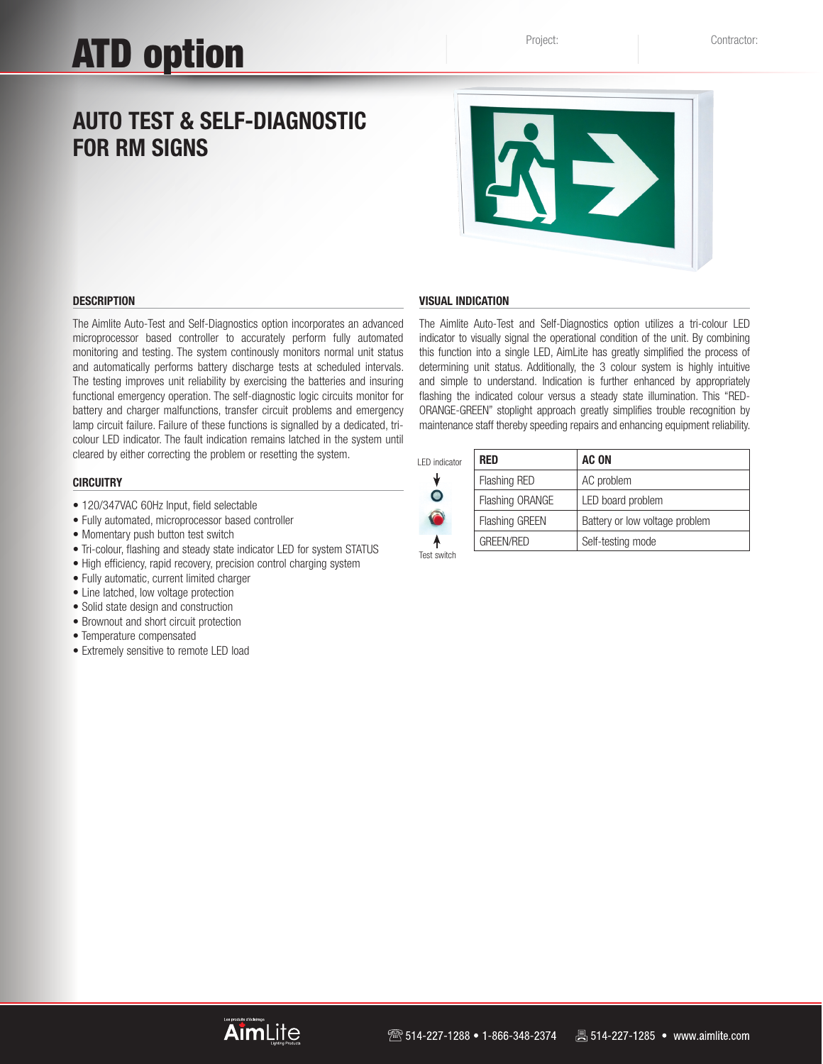# **Auto Test & Self-diagnostic FOR RM SIGNS**



#### **DESCRIPTION**

The Aimlite Auto-Test and Self-Diagnostics option incorporates an advanced microprocessor based controller to accurately perform fully automated monitoring and testing. The system continously monitors normal unit status and automatically performs battery discharge tests at scheduled intervals. The testing improves unit reliability by exercising the batteries and insuring functional emergency operation. The self-diagnostic logic circuits monitor for battery and charger malfunctions, transfer circuit problems and emergency lamp circuit failure. Failure of these functions is signalled by a dedicated, tricolour LED indicator. The fault indication remains latched in the system until cleared by either correcting the problem or resetting the system.

#### **CIRCUITRY**

- 120/347VAC 60Hz Input, field selectable
- Fully automated, microprocessor based controller
- Momentary push button test switch
- Tri-colour, flashing and steady state indicator LED for system STATUS
- High efficiency, rapid recovery, precision control charging system
- Fully automatic, current limited charger
- Line latched, low voltage protection
- Solid state design and construction
- Brownout and short circuit protection
- Temperature compensated
- Extremely sensitive to remote LED load

#### **VISUAL INDICATION**

The Aimlite Auto-Test and Self-Diagnostics option utilizes a tri-colour LED indicator to visually signal the operational condition of the unit. By combining this function into a single LED, AimLite has greatly simplified the process of determining unit status. Additionally, the 3 colour system is highly intuitive and simple to understand. Indication is further enhanced by appropriately flashing the indicated colour versus a steady state illumination. This "RED-ORANGE-GREEN" stoplight approach greatly simplifies trouble recognition by maintenance staff thereby speeding repairs and enhancing equipment reliability.

| I FD indicator | <b>RED</b>            | <b>AC ON</b>                   |
|----------------|-----------------------|--------------------------------|
|                | <b>Flashing RED</b>   | AC problem                     |
| O              | Flashing ORANGE       | LED board problem              |
|                | <b>Flashing GREEN</b> | Battery or low voltage problem |
|                | <b>GREEN/RED</b>      | Self-testing mode              |
| Test switch    |                       |                                |

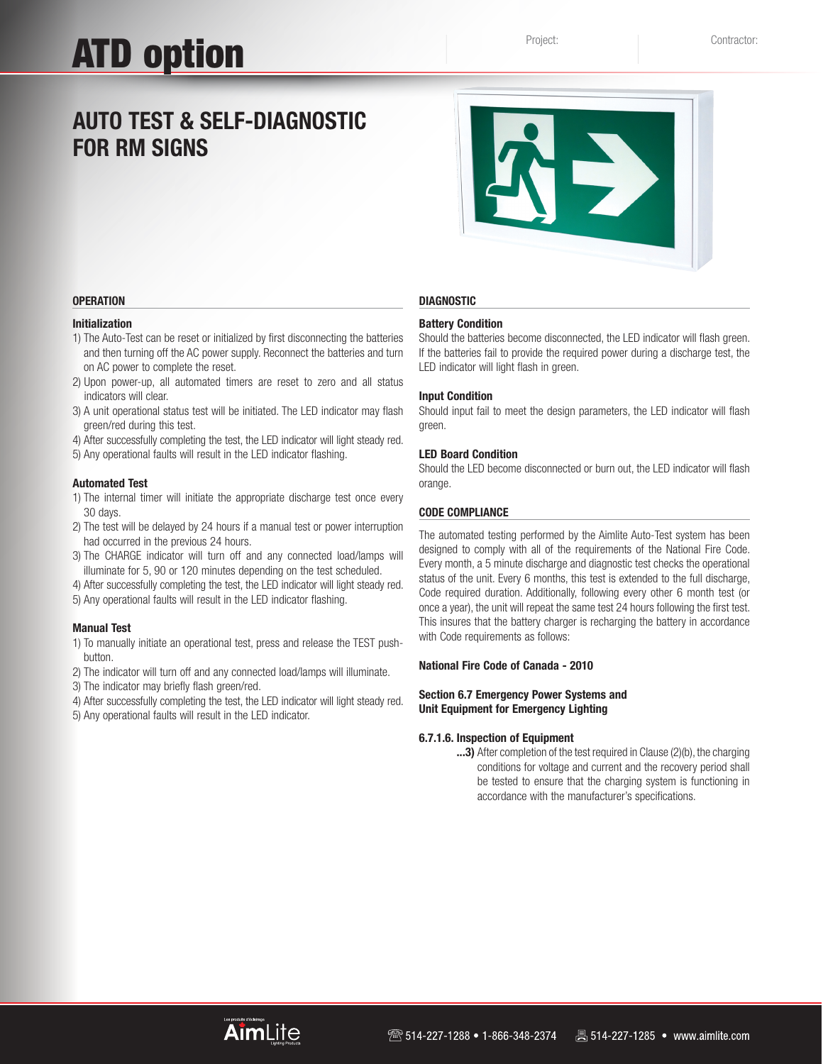# **Auto Test & Self-diagnostic FOR RM SIGNS**



### **Operation**

# **Initialization**

- 1) The Auto-Test can be reset or initialized by first disconnecting the batteries and then turning off the AC power supply. Reconnect the batteries and turn on AC power to complete the reset.
- 2) Upon power-up, all automated timers are reset to zero and all status indicators will clear.
- 3) A unit operational status test will be initiated. The LED indicator may flash green/red during this test.
- 4) After successfully completing the test, the LED indicator will light steady red.
- 5) Any operational faults will result in the LED indicator flashing.

#### **Automated Test**

- 1) The internal timer will initiate the appropriate discharge test once every 30 days.
- 2) The test will be delayed by 24 hours if a manual test or power interruption had occurred in the previous 24 hours.
- 3) The CHARGE indicator will turn off and any connected load/lamps will illuminate for 5, 90 or 120 minutes depending on the test scheduled.
- 4) After successfully completing the test, the LED indicator will light steady red.
- 5) Any operational faults will result in the LED indicator flashing.

# **Manual Test**

- 1) To manually initiate an operational test, press and release the TEST pushbutton.
- 2) The indicator will turn off and any connected load/lamps will illuminate.
- 3) The indicator may briefly flash green/red.
- 4) After successfully completing the test, the LED indicator will light steady red. 5) Any operational faults will result in the LED indicator.

#### **Diagnostic**

# **Battery Condition**

Should the batteries become disconnected, the LED indicator will flash green. If the batteries fail to provide the required power during a discharge test, the LED indicator will light flash in green.

#### **Input Condition**

Should input fail to meet the design parameters, the LED indicator will flash green.

#### **LED Board Condition**

Should the LED become disconnected or burn out, the LED indicator will flash orange.

#### **Code compliance**

The automated testing performed by the Aimlite Auto-Test system has been designed to comply with all of the requirements of the National Fire Code. Every month, a 5 minute discharge and diagnostic test checks the operational status of the unit. Every 6 months, this test is extended to the full discharge, Code required duration. Additionally, following every other 6 month test (or once a year), the unit will repeat the same test 24 hours following the first test. This insures that the battery charger is recharging the battery in accordance with Code requirements as follows:

### **National Fire Code of Canada - 2010**

# **Section 6.7 Emergency Power Systems and Unit Equipment for Emergency Lighting**

## **6.7.1.6. Inspection of Equipment**

**...3)** After completion of the test required in Clause (2)(b), the charging conditions for voltage and current and the recovery period shall be tested to ensure that the charging system is functioning in accordance with the manufacturer's specifications.